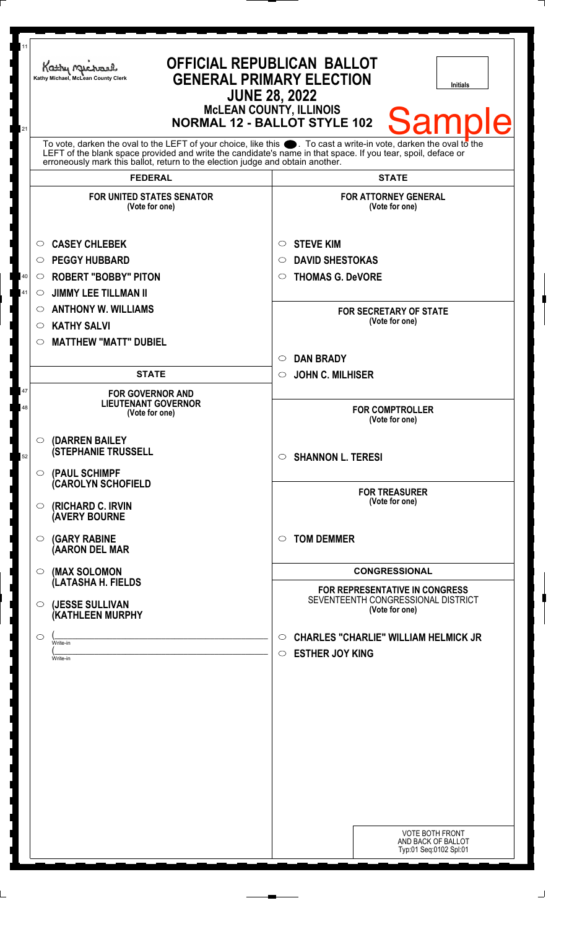| 11<br>21 | <b>OFFICIAL REPUBLICAN BALLOT</b><br>Kathy Michael<br><b>GENERAL PRIMARY ELECTION</b><br>Kathy Michael, McLean County Clerk<br><b>Initials</b><br><b>JUNE 28, 2022</b><br><b>McLEAN COUNTY, ILLINOIS</b><br><b>Samp</b><br><b>NORMAL 12 - BALLOT STYLE 102</b>                                                         |                                                                                                        |
|----------|------------------------------------------------------------------------------------------------------------------------------------------------------------------------------------------------------------------------------------------------------------------------------------------------------------------------|--------------------------------------------------------------------------------------------------------|
|          | To vote, darken the oval to the LEFT of your choice, like this $\bullet$ . To cast a write-in vote, darken the oval to the LEFT of the blank space provided and write the candidate's name in that space. If you tear, spoil, deface<br>erroneously mark this ballot, return to the election judge and obtain another. |                                                                                                        |
|          | <b>FEDERAL</b><br><b>FOR UNITED STATES SENATOR</b><br>(Vote for one)                                                                                                                                                                                                                                                   | <b>STATE</b><br><b>FOR ATTORNEY GENERAL</b><br>(Vote for one)                                          |
| 40<br>41 | <b>CASEY CHLEBEK</b><br>$\circ$<br><b>PEGGY HUBBARD</b><br>$\circ$<br><b>ROBERT "BOBBY" PITON</b><br>$\circ$<br><b>JIMMY LEE TILLMAN II</b><br>O                                                                                                                                                                       | <b>STEVE KIM</b><br>$\circ$<br><b>DAVID SHESTOKAS</b><br>$\circ$<br><b>THOMAS G. DeVORE</b><br>$\circ$ |
|          | <b>ANTHONY W. WILLIAMS</b><br>$\circ$<br><b>KATHY SALVI</b><br>$\circ$<br><b>MATTHEW "MATT" DUBIEL</b><br>$\circ$                                                                                                                                                                                                      | <b>FOR SECRETARY OF STATE</b><br>(Vote for one)                                                        |
|          | <b>STATE</b>                                                                                                                                                                                                                                                                                                           | <b>DAN BRADY</b><br>$\circ$<br><b>JOHN C. MILHISER</b><br>$\circ$                                      |
| 47<br>48 | <b>FOR GOVERNOR AND</b><br><b>LIEUTENANT GOVERNOR</b><br>(Vote for one)                                                                                                                                                                                                                                                | <b>FOR COMPTROLLER</b><br>(Vote for one)                                                               |
| 52       | (DARREN BAILEY<br>$\circ$<br><b>(STEPHANIE TRUSSELL</b><br>(PAUL SCHIMPF<br>$\circ$                                                                                                                                                                                                                                    | $\circ$ SHANNON L. TERESI                                                                              |
|          | <b>(CAROLYN SCHOFIELD</b><br>(RICHARD C. IRVIN<br>$\circ$<br><b>(AVERY BOURNE</b>                                                                                                                                                                                                                                      | <b>FOR TREASURER</b><br>(Vote for one)                                                                 |
|          | <b>(GARY RABINE</b><br>$\circ$<br>(AARON DEL MAR                                                                                                                                                                                                                                                                       | <b>TOM DEMMER</b><br>$\circ$                                                                           |
|          | (MAX SOLOMON<br>$\circ$<br>(LATASHA H. FIELDS                                                                                                                                                                                                                                                                          | <b>CONGRESSIONAL</b><br><b>FOR REPRESENTATIVE IN CONGRESS</b><br>SEVENTEENTH CONGRESSIONAL DISTRICT    |
|          | (JESSE SULLIVAN<br>$\circ$<br>(KATHLEEN MURPHY<br>$\circ$<br>Write-in                                                                                                                                                                                                                                                  | (Vote for one)<br><b>CHARLES "CHARLIE" WILLIAM HELMICK JR</b><br>$\circ$                               |
|          | Write-in                                                                                                                                                                                                                                                                                                               | <b>ESTHER JOY KING</b><br>$\circ$<br><b>VOTE BOTH FRONT</b>                                            |
|          |                                                                                                                                                                                                                                                                                                                        | AND BACK OF BALLOT<br>Typ:01 Seq:0102 Spl:01                                                           |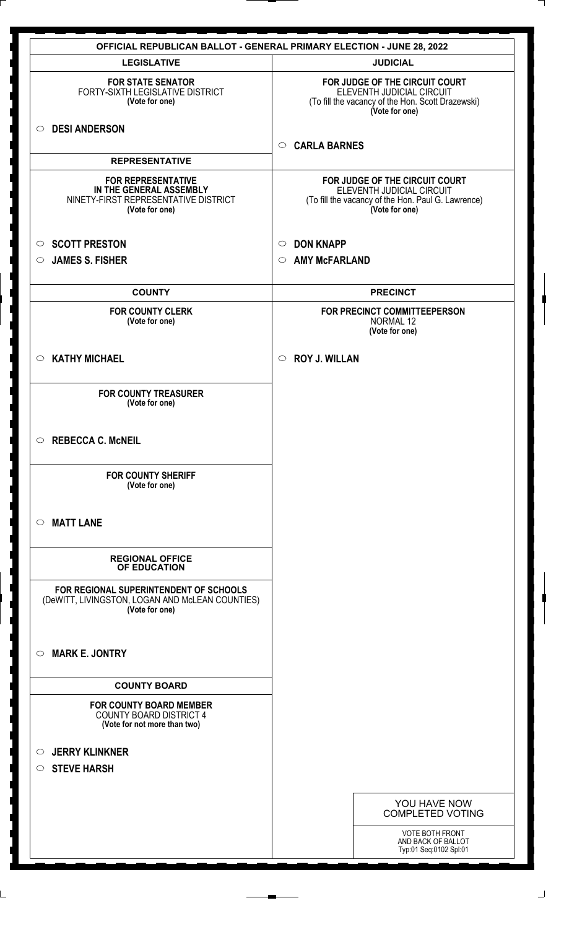|                                                                                                                | <b>OFFICIAL REPUBLICAN BALLOT - GENERAL PRIMARY ELECTION - JUNE 28, 2022</b>                                                        |
|----------------------------------------------------------------------------------------------------------------|-------------------------------------------------------------------------------------------------------------------------------------|
| <b>LEGISLATIVE</b>                                                                                             | <b>JUDICIAL</b>                                                                                                                     |
| <b>FOR STATE SENATOR</b><br>FORTY-SIXTH LEGISLATIVE DISTRICT<br>(Vote for one)                                 | FOR JUDGE OF THE CIRCUIT COURT<br>ELEVENTH JUDICIAL CIRCUIT<br>(To fill the vacancy of the Hon. Scott Drazewski)<br>(Vote for one)  |
| <b>DESI ANDERSON</b><br>$\circ$                                                                                | <b>CARLA BARNES</b><br>$\circ$                                                                                                      |
| <b>REPRESENTATIVE</b>                                                                                          |                                                                                                                                     |
| <b>FOR REPRESENTATIVE</b><br>IN THE GENERAL ASSEMBLY<br>NINETY-FIRST REPRESENTATIVE DISTRICT<br>(Vote for one) | FOR JUDGE OF THE CIRCUIT COURT<br>ELEVENTH JUDICIAL CIRCUIT<br>(To fill the vacancy of the Hon. Paul G. Lawrence)<br>(Vote for one) |
| <b>SCOTT PRESTON</b><br>$\circ$                                                                                | <b>DON KNAPP</b><br>$\circ$                                                                                                         |
| <b>JAMES S. FISHER</b><br>$\circ$                                                                              | <b>AMY McFARLAND</b><br>$\circ$                                                                                                     |
| <b>COUNTY</b>                                                                                                  | <b>PRECINCT</b>                                                                                                                     |
| <b>FOR COUNTY CLERK</b><br>(Vote for one)                                                                      | FOR PRECINCT COMMITTEEPERSON<br>NORMAL 12<br>(Vote for one)                                                                         |
| <b>KATHY MICHAEL</b><br>$\circ$                                                                                | <b>ROY J. WILLAN</b><br>$\circ$                                                                                                     |
| <b>FOR COUNTY TREASURER</b><br>(Vote for one)                                                                  |                                                                                                                                     |
| $\circ$ REBECCA C. McNEIL                                                                                      |                                                                                                                                     |
| <b>FOR COUNTY SHERIFF</b><br>(Vote for one)                                                                    |                                                                                                                                     |
| <b>MATT LANE</b><br>$\circ$                                                                                    |                                                                                                                                     |
| <b>REGIONAL OFFICE</b><br>OF EDUCATION                                                                         |                                                                                                                                     |
| FOR REGIONAL SUPERINTENDENT OF SCHOOLS<br>(DeWITT, LIVINGSTON, LOGAN AND McLEAN COUNTIES)<br>(Vote for one)    |                                                                                                                                     |
| <b>MARK E. JONTRY</b><br>$\circ$                                                                               |                                                                                                                                     |
| <b>COUNTY BOARD</b>                                                                                            |                                                                                                                                     |
| <b>FOR COUNTY BOARD MEMBER</b><br><b>COUNTY BOARD DISTRICT 4</b><br>(Vote for not more than two)               |                                                                                                                                     |
| <b>JERRY KLINKNER</b><br>$\circ$                                                                               |                                                                                                                                     |
| $\circ$ STEVE HARSH                                                                                            |                                                                                                                                     |
|                                                                                                                | YOU HAVE NOW<br><b>COMPLETED VOTING</b>                                                                                             |
|                                                                                                                | VOTE BOTH FRONT<br>AND BACK OF BALLOT<br>Typ:01 Seq:0102 Spl:01                                                                     |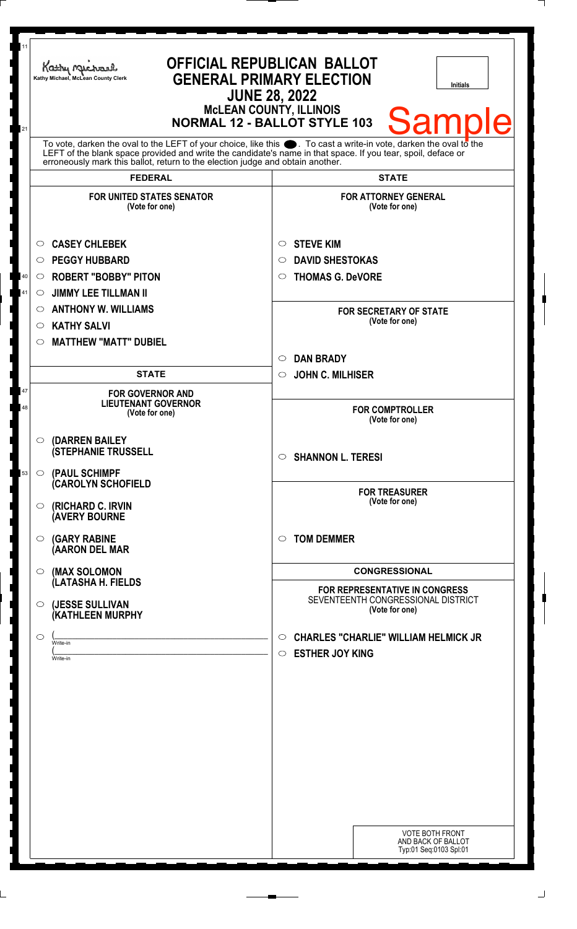| 11<br>21 | <b>OFFICIAL REPUBLICAN BALLOT</b><br>Kathy Michael<br><b>GENERAL PRIMARY ELECTION</b><br>Kathy Michael, McLean County Clerk<br>Initials<br><b>JUNE 28, 2022</b><br><b>McLEAN COUNTY, ILLINOIS</b><br><b>Samp</b><br><b>NORMAL 12 - BALLOT STYLE 103</b>                                                                |                                                                                                        |
|----------|------------------------------------------------------------------------------------------------------------------------------------------------------------------------------------------------------------------------------------------------------------------------------------------------------------------------|--------------------------------------------------------------------------------------------------------|
|          | To vote, darken the oval to the LEFT of your choice, like this $\bullet$ . To cast a write-in vote, darken the oval to the LEFT of the boral to the LEFT of the blank space provided and write the candidate's name in that space. I<br>erroneously mark this ballot, return to the election judge and obtain another. |                                                                                                        |
|          | <b>FEDERAL</b><br><b>FOR UNITED STATES SENATOR</b><br>(Vote for one)                                                                                                                                                                                                                                                   | <b>STATE</b><br><b>FOR ATTORNEY GENERAL</b><br>(Vote for one)                                          |
| 40<br>41 | <b>CASEY CHLEBEK</b><br>O<br><b>PEGGY HUBBARD</b><br>O<br><b>ROBERT "BOBBY" PITON</b><br>O<br><b>JIMMY LEE TILLMAN II</b><br>O                                                                                                                                                                                         | <b>STEVE KIM</b><br>$\circ$<br><b>DAVID SHESTOKAS</b><br>$\circ$<br><b>THOMAS G. DeVORE</b><br>$\circ$ |
|          | <b>ANTHONY W. WILLIAMS</b><br>O<br><b>KATHY SALVI</b><br>O<br><b>MATTHEW "MATT" DUBIEL</b><br>O                                                                                                                                                                                                                        | <b>FOR SECRETARY OF STATE</b><br>(Vote for one)                                                        |
|          | <b>STATE</b>                                                                                                                                                                                                                                                                                                           | <b>DAN BRADY</b><br>$\circ$<br><b>JOHN C. MILHISER</b><br>$\circ$                                      |
| 47<br>48 | <b>FOR GOVERNOR AND</b><br><b>LIEUTENANT GOVERNOR</b><br>(Vote for one)                                                                                                                                                                                                                                                | <b>FOR COMPTROLLER</b><br>(Vote for one)                                                               |
| 53       | <b>(DARREN BAILEY)</b><br>$\circ$<br><b>(STEPHANIE TRUSSELL</b><br>(PAUL SCHIMPF<br>$\circ$                                                                                                                                                                                                                            | $\circ$ SHANNON L. TERESI                                                                              |
|          | (CAROLYN SCHOFIELD<br>(RICHARD C. IRVIN<br>O.<br><b>(AVERY BOURNE</b>                                                                                                                                                                                                                                                  | <b>FOR TREASURER</b><br>(Vote for one)                                                                 |
|          | <b>(GARY RABINE</b><br>$\circ$<br>(AARON DEL MAR                                                                                                                                                                                                                                                                       | <b>TOM DEMMER</b><br>$\circ$                                                                           |
|          | (MAX SOLOMON<br>$\circ$<br>(LATASHA H. FIELDS                                                                                                                                                                                                                                                                          | <b>CONGRESSIONAL</b>                                                                                   |
|          | (JESSE SULLIVAN<br>$\circ$<br><b>(KATHLEEN MURPHY</b>                                                                                                                                                                                                                                                                  | <b>FOR REPRESENTATIVE IN CONGRESS</b><br>SEVENTEENTH CONGRESSIONAL DISTRICT<br>(Vote for one)          |
|          | $\bigcirc$<br>Write-in<br>Write-in                                                                                                                                                                                                                                                                                     | <b>CHARLES "CHARLIE" WILLIAM HELMICK JR</b><br>$\circ$<br><b>ESTHER JOY KING</b><br>$\circ$            |
|          |                                                                                                                                                                                                                                                                                                                        |                                                                                                        |
|          |                                                                                                                                                                                                                                                                                                                        |                                                                                                        |
|          |                                                                                                                                                                                                                                                                                                                        |                                                                                                        |
|          |                                                                                                                                                                                                                                                                                                                        | <b>VOTE BOTH FRONT</b><br>AND BACK OF BALLOT<br>Typ:01 Seq:0103 Spl:01                                 |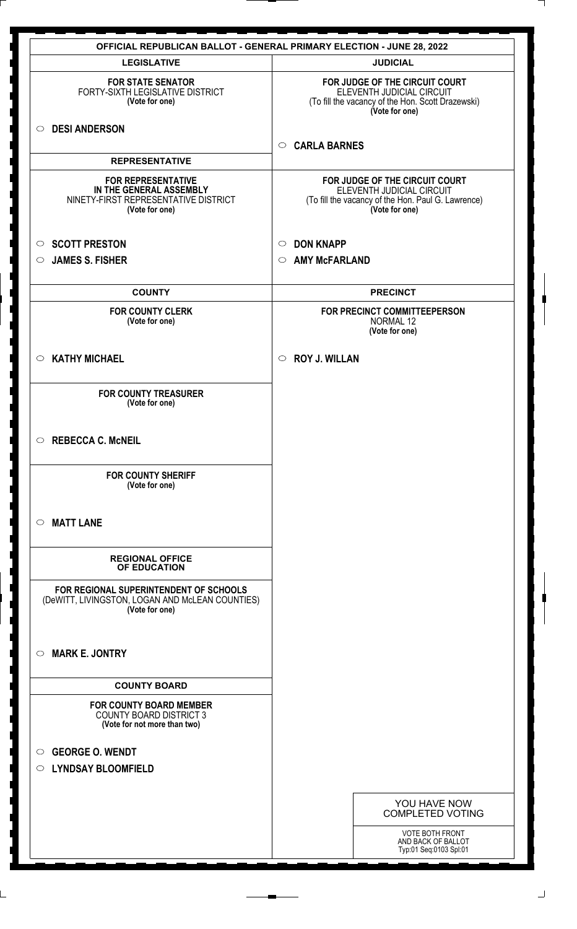|                                                                                                                | <b>OFFICIAL REPUBLICAN BALLOT - GENERAL PRIMARY ELECTION - JUNE 28, 2022</b>                                                        |
|----------------------------------------------------------------------------------------------------------------|-------------------------------------------------------------------------------------------------------------------------------------|
| <b>LEGISLATIVE</b>                                                                                             | <b>JUDICIAL</b>                                                                                                                     |
| <b>FOR STATE SENATOR</b><br>FORTY-SIXTH LEGISLATIVE DISTRICT<br>(Vote for one)                                 | FOR JUDGE OF THE CIRCUIT COURT<br>ELEVENTH JUDICIAL CIRCUIT<br>(To fill the vacancy of the Hon. Scott Drazewski)<br>(Vote for one)  |
| <b>DESI ANDERSON</b><br>$\circ$                                                                                | <b>CARLA BARNES</b><br>$\circ$                                                                                                      |
| <b>REPRESENTATIVE</b>                                                                                          |                                                                                                                                     |
| <b>FOR REPRESENTATIVE</b><br>IN THE GENERAL ASSEMBLY<br>NINETY-FIRST REPRESENTATIVE DISTRICT<br>(Vote for one) | FOR JUDGE OF THE CIRCUIT COURT<br>ELEVENTH JUDICIAL CIRCUIT<br>(To fill the vacancy of the Hon. Paul G. Lawrence)<br>(Vote for one) |
| <b>SCOTT PRESTON</b><br>$\circ$                                                                                | <b>DON KNAPP</b><br>$\circ$                                                                                                         |
| <b>JAMES S. FISHER</b><br>O                                                                                    | <b>AMY McFARLAND</b><br>$\circ$                                                                                                     |
| <b>COUNTY</b>                                                                                                  | <b>PRECINCT</b>                                                                                                                     |
| <b>FOR COUNTY CLERK</b><br>(Vote for one)                                                                      | FOR PRECINCT COMMITTEEPERSON<br>NORMAL 12<br>(Vote for one)                                                                         |
| <b>KATHY MICHAEL</b><br>$\circ$                                                                                | <b>ROY J. WILLAN</b><br>$\circ$                                                                                                     |
| <b>FOR COUNTY TREASURER</b><br>(Vote for one)                                                                  |                                                                                                                                     |
| <b>REBECCA C. McNEIL</b><br>$\circ$                                                                            |                                                                                                                                     |
| <b>FOR COUNTY SHERIFF</b><br>(Vote for one)                                                                    |                                                                                                                                     |
| <b>MATT LANE</b><br>◯                                                                                          |                                                                                                                                     |
| <b>REGIONAL OFFICE</b><br>OF EDUCATION                                                                         |                                                                                                                                     |
| FOR REGIONAL SUPERINTENDENT OF SCHOOLS<br>(DeWITT, LIVINGSTON, LOGAN AND McLEAN COUNTIES)<br>(Vote for one)    |                                                                                                                                     |
| <b>MARK E. JONTRY</b><br>$\circ$                                                                               |                                                                                                                                     |
| <b>COUNTY BOARD</b>                                                                                            |                                                                                                                                     |
| <b>FOR COUNTY BOARD MEMBER</b><br><b>COUNTY BOARD DISTRICT 3</b><br>(Vote for not more than two)               |                                                                                                                                     |
| <b>GEORGE O. WENDT</b><br>$\circ$<br><b>LYNDSAY BLOOMFIELD</b><br>$\circ$                                      |                                                                                                                                     |
|                                                                                                                | YOU HAVE NOW<br><b>COMPLETED VOTING</b>                                                                                             |
|                                                                                                                | VOTE BOTH FRONT<br>AND BACK OF BALLOT<br>Typ:01 Seq:0103 Spl:01                                                                     |

 $\perp$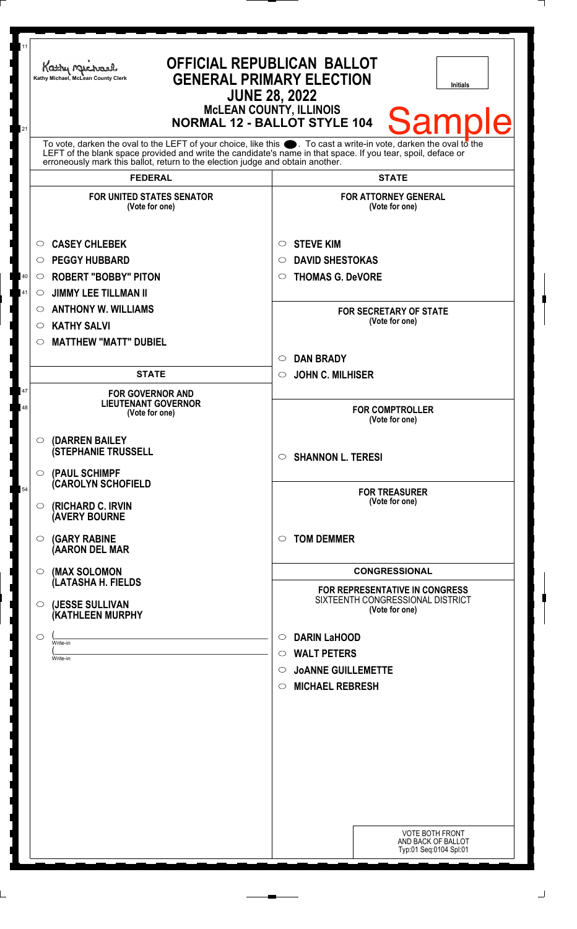| 11                                                                                                                                                                                                                                                                                               |                                                                                                                                                                                                          |                                                    |
|--------------------------------------------------------------------------------------------------------------------------------------------------------------------------------------------------------------------------------------------------------------------------------------------------|----------------------------------------------------------------------------------------------------------------------------------------------------------------------------------------------------------|----------------------------------------------------|
|                                                                                                                                                                                                                                                                                                  | <b>OFFICIAL REPUBLICAN BALLOT</b><br>Kathy Michael<br><b>GENERAL PRIMARY ELECTION</b><br>Kathy Michael, McLean County Clerk<br><b>Initials</b><br><b>JUNE 28, 2022</b><br><b>MCLEAN COUNTY, ILLINOIS</b> |                                                    |
| <b>Samp</b><br><b>NORMAL 12 - BALLOT STYLE 104</b><br>21<br>To vote, darken the oval to the LEFT of your choice, like this $\bullet$ . To cast a write-in vote, darken the oval to the LEFT of the blank space provided and write the candidate's name in that space. If you tear, spoil, deface |                                                                                                                                                                                                          |                                                    |
|                                                                                                                                                                                                                                                                                                  | erroneously mark this ballot, return to the election judge and obtain another.                                                                                                                           |                                                    |
|                                                                                                                                                                                                                                                                                                  | <b>FEDERAL</b>                                                                                                                                                                                           | <b>STATE</b>                                       |
|                                                                                                                                                                                                                                                                                                  | <b>FOR UNITED STATES SENATOR</b><br>(Vote for one)                                                                                                                                                       | <b>FOR ATTORNEY GENERAL</b><br>(Vote for one)      |
|                                                                                                                                                                                                                                                                                                  | <b>CASEY CHLEBEK</b><br>$\circ$                                                                                                                                                                          | <b>STEVE KIM</b><br>$\circ$                        |
|                                                                                                                                                                                                                                                                                                  | <b>PEGGY HUBBARD</b><br>$\circ$                                                                                                                                                                          | <b>DAVID SHESTOKAS</b><br>$\circ$                  |
| 40                                                                                                                                                                                                                                                                                               | <b>ROBERT "BOBBY" PITON</b><br>$\circ$                                                                                                                                                                   | <b>THOMAS G. DeVORE</b><br>$\circ$                 |
| 41                                                                                                                                                                                                                                                                                               | <b>JIMMY LEE TILLMAN II</b><br>$\circ$                                                                                                                                                                   |                                                    |
|                                                                                                                                                                                                                                                                                                  | <b>ANTHONY W. WILLIAMS</b><br>$\circ$                                                                                                                                                                    | <b>FOR SECRETARY OF STATE</b>                      |
|                                                                                                                                                                                                                                                                                                  | <b>KATHY SALVI</b><br>$\circ$                                                                                                                                                                            | (Vote for one)                                     |
|                                                                                                                                                                                                                                                                                                  | <b>MATTHEW "MATT" DUBIEL</b><br>O                                                                                                                                                                        |                                                    |
|                                                                                                                                                                                                                                                                                                  |                                                                                                                                                                                                          | <b>DAN BRADY</b><br>$\circ$                        |
|                                                                                                                                                                                                                                                                                                  | <b>STATE</b>                                                                                                                                                                                             | <b>JOHN C. MILHISER</b><br>$\circ$                 |
| 47<br>48                                                                                                                                                                                                                                                                                         | <b>FOR GOVERNOR AND</b><br><b>LIEUTENANT GOVERNOR</b><br>(Vote for one)                                                                                                                                  | <b>FOR COMPTROLLER</b>                             |
|                                                                                                                                                                                                                                                                                                  |                                                                                                                                                                                                          | (Vote for one)                                     |
|                                                                                                                                                                                                                                                                                                  | (DARREN BAILEY<br>$\circ$<br><b>(STEPHANIE TRUSSELL</b>                                                                                                                                                  | $\circ$ SHANNON L. TERESI                          |
|                                                                                                                                                                                                                                                                                                  | (PAUL SCHIMPF<br>$\circ$<br>(CAROLYN SCHOFIELD                                                                                                                                                           |                                                    |
| 54                                                                                                                                                                                                                                                                                               | (RICHARD C. IRVIN<br>$\circ$<br><b>(AVERY BOURNE</b>                                                                                                                                                     | <b>FOR TREASURER</b><br>(Vote for one)             |
|                                                                                                                                                                                                                                                                                                  | <b>(GARY RABINE</b><br>$\circ$<br>(AARON DEL MAR                                                                                                                                                         | <b>TOM DEMMER</b><br>$\circ$                       |
|                                                                                                                                                                                                                                                                                                  | (MAX SOLOMON<br>$\circ$                                                                                                                                                                                  | <b>CONGRESSIONAL</b>                               |
|                                                                                                                                                                                                                                                                                                  | (LATASHA H. FIELDS                                                                                                                                                                                       | FOR REPRESENTATIVE IN CONGRESS                     |
|                                                                                                                                                                                                                                                                                                  | (JESSE SULLIVAN<br>$\circ$<br>(KATHLEEN MURPHY                                                                                                                                                           | SIXTEENTH CONGRESSIONAL DISTRICT<br>(Vote for one) |
|                                                                                                                                                                                                                                                                                                  | ◯<br>Write-in                                                                                                                                                                                            | <b>DARIN LaHOOD</b><br>$\circ$                     |
|                                                                                                                                                                                                                                                                                                  | Write-in                                                                                                                                                                                                 | $\circ$ WALT PETERS                                |
|                                                                                                                                                                                                                                                                                                  |                                                                                                                                                                                                          | <b>JOANNE GUILLEMETTE</b><br>$\circ$               |
|                                                                                                                                                                                                                                                                                                  |                                                                                                                                                                                                          | <b>MICHAEL REBRESH</b><br>$\circ$                  |
|                                                                                                                                                                                                                                                                                                  |                                                                                                                                                                                                          |                                                    |
|                                                                                                                                                                                                                                                                                                  |                                                                                                                                                                                                          |                                                    |
|                                                                                                                                                                                                                                                                                                  |                                                                                                                                                                                                          |                                                    |
|                                                                                                                                                                                                                                                                                                  |                                                                                                                                                                                                          |                                                    |
|                                                                                                                                                                                                                                                                                                  |                                                                                                                                                                                                          |                                                    |
|                                                                                                                                                                                                                                                                                                  |                                                                                                                                                                                                          |                                                    |
|                                                                                                                                                                                                                                                                                                  |                                                                                                                                                                                                          |                                                    |
|                                                                                                                                                                                                                                                                                                  |                                                                                                                                                                                                          | <b>VOTE BOTH FRONT</b>                             |
|                                                                                                                                                                                                                                                                                                  |                                                                                                                                                                                                          | AND BACK OF BALLOT<br>Typ:01 Seq:0104 Spl:01       |
|                                                                                                                                                                                                                                                                                                  |                                                                                                                                                                                                          |                                                    |